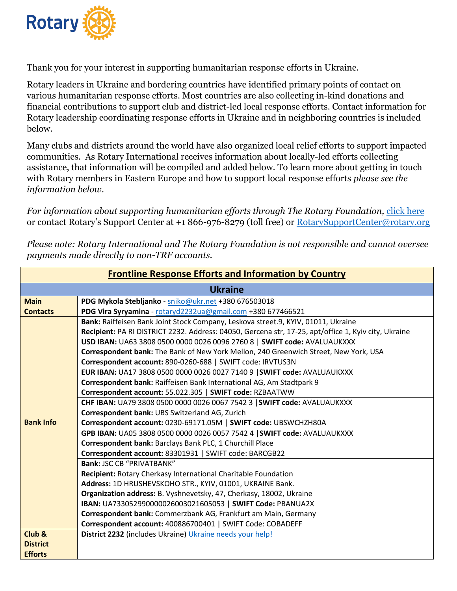

Thank you for your interest in supporting humanitarian response efforts in Ukraine.

Rotary leaders in Ukraine and bordering countries have identified primary points of contact on various humanitarian response efforts. Most countries are also collecting in-kind donations and financial contributions to support club and district-led local response efforts. Contact information for Rotary leadership coordinating response efforts in Ukraine and in neighboring countries is included below.

Many clubs and districts around the world have also organized local relief efforts to support impacted communities. As Rotary International receives information about locally-led efforts collecting assistance, that information will be compiled and added below. To learn more about getting in touch with Rotary members in Eastern Europe and how to support local response efforts *please see the information below.* 

*For information about supporting humanitarian efforts through The Rotary Foundation, [click here](https://www.rotary.org/en/rotary-foundation-creates-channel-direct-humanitarian-support-ukraine-region)* or contact Rotary's Support Center at +1 866-976-8279 (toll free) or [RotarySupportCenter@rotary.org](mailto:RotarySupportCenter@rotary.org)

*Please note: Rotary International and The Rotary Foundation is not responsible and cannot oversee payments made directly to non-TRF accounts.*

| <b>Frontline Response Efforts and Information by Country</b> |                                                                                                      |  |
|--------------------------------------------------------------|------------------------------------------------------------------------------------------------------|--|
| <b>Ukraine</b>                                               |                                                                                                      |  |
| <b>Main</b>                                                  | PDG Mykola Stebljanko - sniko@ukr.net +380 676503018                                                 |  |
| <b>Contacts</b>                                              | PDG Vira Syryamina - rotaryd2232ua@gmail.com +380 677466521                                          |  |
|                                                              | Bank: Raiffeisen Bank Joint Stock Company, Leskova street.9, KYIV, 01011, Ukraine                    |  |
|                                                              | Recipient: PA RI DISTRICT 2232. Address: 04050, Gercena str, 17-25, apt/office 1, Kyiv city, Ukraine |  |
|                                                              | USD IBAN: UA63 3808 0500 0000 0026 0096 2760 8   SWIFT code: AVALUAUKXXX                             |  |
|                                                              | Correspondent bank: The Bank of New York Mellon, 240 Greenwich Street, New York, USA                 |  |
|                                                              | Correspondent account: 890-0260-688   SWIFT code: IRVTUS3N                                           |  |
|                                                              | EUR IBAN: UA17 3808 0500 0000 0026 0027 7140 9   SWIFT code: AVALUAUKXXX                             |  |
|                                                              | Correspondent bank: Raiffeisen Bank International AG, Am Stadtpark 9                                 |  |
|                                                              | Correspondent account: 55.022.305   SWIFT code: RZBAATWW                                             |  |
| <b>Bank Info</b>                                             | CHF IBAN: UA79 3808 0500 0000 0026 0067 7542 3   SWIFT code: AVALUAUKXXX                             |  |
|                                                              | Correspondent bank: UBS Switzerland AG, Zurich                                                       |  |
|                                                              | Correspondent account: 0230-69171.05M   SWIFT code: UBSWCHZH80A                                      |  |
|                                                              | GPB IBAN: UA05 3808 0500 0000 0026 0057 7542 4   SWIFT code: AVALUAUKXXX                             |  |
|                                                              | Correspondent bank: Barclays Bank PLC, 1 Churchill Place                                             |  |
|                                                              | Correspondent account: 83301931   SWIFT code: BARCGB22                                               |  |
|                                                              | <b>Bank: JSC CB "PRIVATBANK"</b>                                                                     |  |
|                                                              | Recipient: Rotary Cherkasy International Charitable Foundation                                       |  |
|                                                              | Address: 1D HRUSHEVSKOHO STR., KYIV, 01001, UKRAINE Bank.                                            |  |
|                                                              | Organization address: B. Vyshnevetsky, 47, Cherkasy, 18002, Ukraine                                  |  |
|                                                              | IBAN: UA733052990000026003021605053   SWIFT Code: PBANUA2X                                           |  |
|                                                              | Correspondent bank: Commerzbank AG, Frankfurt am Main, Germany                                       |  |
|                                                              | Correspondent account: 400886700401   SWIFT Code: COBADEFF                                           |  |
| Club &                                                       | District 2232 (includes Ukraine) Ukraine needs your help!                                            |  |
| <b>District</b>                                              |                                                                                                      |  |
| <b>Efforts</b>                                               |                                                                                                      |  |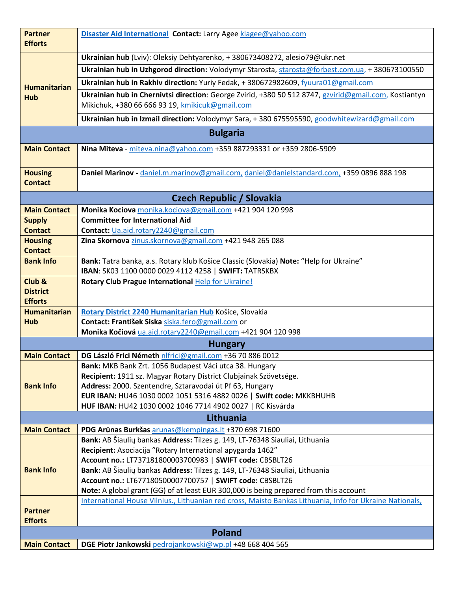| <b>Partner</b>                  | Disaster Aid International Contact: Larry Agee klagee@yahoo.com                                                                                          |  |
|---------------------------------|----------------------------------------------------------------------------------------------------------------------------------------------------------|--|
| <b>Efforts</b>                  |                                                                                                                                                          |  |
| <b>Humanitarian</b><br>Hub      | Ukrainian hub (Lviv): Oleksiy Dehtyarenko, +380673408272, alesio79@ukr.net                                                                               |  |
|                                 | Ukrainian hub in Uzhgorod direction: Volodymyr Starosta, starosta@forbest.com.ua, + 380673100550                                                         |  |
|                                 | Ukrainian hub in Rakhiv direction: Yuriy Fedak, +380672982609, fyuura01@gmail.com                                                                        |  |
|                                 | Ukrainian hub in Chernivtsi direction: George Zvirid, +380 50 512 8747, gzvirid@gmail.com, Kostiantyn<br>Mikichuk, +380 66 666 93 19, kmikicuk@gmail.com |  |
|                                 | Ukrainian hub in Izmail direction: Volodymyr Sara, +380 675595590, goodwhitewizard@gmail.com                                                             |  |
|                                 | <b>Bulgaria</b>                                                                                                                                          |  |
| <b>Main Contact</b>             | Nina Miteva - miteva.nina@yahoo.com +359 887293331 or +359 2806-5909                                                                                     |  |
|                                 |                                                                                                                                                          |  |
| <b>Housing</b>                  | Daniel Marinov - daniel.m.marinov@gmail.com, daniel@danielstandard.com, +359 0896 888 198                                                                |  |
| <b>Contact</b>                  |                                                                                                                                                          |  |
|                                 |                                                                                                                                                          |  |
|                                 | <b>Czech Republic / Slovakia</b>                                                                                                                         |  |
| <b>Main Contact</b>             | Monika Kociova monika.kociova@gmail.com +421 904 120 998<br><b>Committee for International Aid</b>                                                       |  |
| <b>Supply</b><br><b>Contact</b> | Contact: Ua.aid.rotary2240@gmail.com                                                                                                                     |  |
| <b>Housing</b>                  | Zina Skornova zinus.skornova@gmail.com +421 948 265 088                                                                                                  |  |
| <b>Contact</b>                  |                                                                                                                                                          |  |
| <b>Bank Info</b>                | Bank: Tatra banka, a.s. Rotary klub Košice Classic (Slovakia) Note: "Help for Ukraine"                                                                   |  |
|                                 | IBAN: SK03 1100 0000 0029 4112 4258   SWIFT: TATRSKBX                                                                                                    |  |
| Club &                          | Rotary Club Prague International Help for Ukraine!                                                                                                       |  |
| <b>District</b>                 |                                                                                                                                                          |  |
| <b>Efforts</b>                  |                                                                                                                                                          |  |
| <b>Humanitarian</b>             | Rotary District 2240 Humanitarian Hub Košice, Slovakia                                                                                                   |  |
| <b>Hub</b>                      | Contact: František Siska siska.fero@gmail.com or                                                                                                         |  |
|                                 | Monika Kočiová ua.aid.rotary2240@gmail.com +421 904 120 998                                                                                              |  |
|                                 | <b>Hungary</b>                                                                                                                                           |  |
| <b>Main Contact</b>             | DG László Frici Németh nlfrici@gmail.com +36 70 886 0012                                                                                                 |  |
|                                 | Bank: MKB Bank Zrt. 1056 Budapest Váci utca 38. Hungary<br>Recipient: 1911 sz. Magyar Rotary District Clubjainak Szövetsége.                             |  |
| <b>Bank Info</b>                | Address: 2000. Szentendre, Sztaravodai út Pf 63, Hungary                                                                                                 |  |
|                                 | EUR IBAN: HU46 1030 0002 1051 5316 4882 0026   Swift code: MKKBHUHB                                                                                      |  |
|                                 | HUF IBAN: HU42 1030 0002 1046 7714 4902 0027   RC Kisvárda                                                                                               |  |
|                                 | Lithuania                                                                                                                                                |  |
| <b>Main Contact</b>             | PDG Arūnas Burkšas arunas@kempingas.lt +370 698 71600                                                                                                    |  |
|                                 | Bank: AB Šiaulių bankas Address: Tilzes g. 149, LT-76348 Siauliai, Lithuania                                                                             |  |
|                                 | Recipient: Asociacija "Rotary International apygarda 1462"                                                                                               |  |
|                                 | Account no.: LT737181800003700983   SWIFT code: CBSBLT26                                                                                                 |  |
| <b>Bank Info</b>                | Bank: AB Šiaulių bankas Address: Tilzes g. 149, LT-76348 Siauliai, Lithuania                                                                             |  |
|                                 | Account no.: LT677180500007700757   SWIFT code: CBSBLT26                                                                                                 |  |
|                                 | Note: A global grant (GG) of at least EUR 300,000 is being prepared from this account                                                                    |  |
|                                 | International House Vilnius., Lithuanian red cross, Maisto Bankas Lithuania, Info for Ukraine Nationals,                                                 |  |
| <b>Partner</b>                  |                                                                                                                                                          |  |
| <b>Efforts</b>                  |                                                                                                                                                          |  |
| <b>Poland</b>                   |                                                                                                                                                          |  |
| <b>Main Contact</b>             | DGE Piotr Jankowski pedrojankowski@wp.pl +48 668 404 565                                                                                                 |  |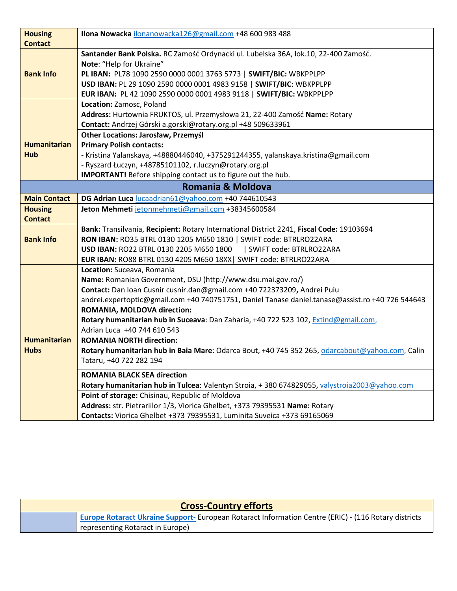| <b>Housing</b>               | Ilona Nowacka ilonanowacka126@gmail.com +48 600 983 488                                                         |  |
|------------------------------|-----------------------------------------------------------------------------------------------------------------|--|
| <b>Contact</b>               |                                                                                                                 |  |
|                              | Santander Bank Polska. RC Zamość Ordynacki ul. Lubelska 36A, lok.10, 22-400 Zamość.<br>Note: "Help for Ukraine" |  |
| <b>Bank Info</b>             | PL IBAN: PL78 1090 2590 0000 0001 3763 5773   SWIFT/BIC: WBKPPLPP                                               |  |
|                              | USD IBAN: PL 29 1090 2590 0000 0001 4983 9158   SWIFT/BIC: WBKPPLPP                                             |  |
|                              | EUR IBAN: PL 42 1090 2590 0000 0001 4983 9118   SWIFT/BIC: WBKPPLPP                                             |  |
|                              | Location: Zamosc, Poland                                                                                        |  |
|                              | Address: Hurtownia FRUKTOS, ul. Przemysłowa 21, 22-400 Zamość Name: Rotary                                      |  |
|                              | Contact: Andrzej Górski a.gorski@rotary.org.pl +48 509633961                                                    |  |
|                              | Other Locations: Jarosław, Przemyśl                                                                             |  |
| <b>Humanitarian</b>          | <b>Primary Polish contacts:</b>                                                                                 |  |
| Hub                          | - Kristina Yalanskaya, +48880446040, +375291244355, yalanskaya.kristina@gmail.com                               |  |
|                              | - Ryszard Łuczyn, +48785101102, r.luczyn@rotary.org.pl                                                          |  |
|                              | IMPORTANT! Before shipping contact us to figure out the hub.                                                    |  |
| <b>Romania &amp; Moldova</b> |                                                                                                                 |  |
| <b>Main Contact</b>          | DG Adrian Luca lucaadrian61@yahoo.com +40 744610543                                                             |  |
| <b>Housing</b>               | Jeton Mehmeti jetonmehmeti@gmail.com +38345600584                                                               |  |
| <b>Contact</b>               |                                                                                                                 |  |
|                              | Bank: Transilvania, Recipient: Rotary International District 2241, Fiscal Code: 19103694                        |  |
| <b>Bank Info</b>             | RON IBAN: RO35 BTRL 0130 1205 M650 1810   SWIFT code: BTRLRO22ARA                                               |  |
|                              | USD IBAN: RO22 BTRL 0130 2205 M650 1800   SWIFT code: BTRLRO22ARA                                               |  |
|                              | EUR IBAN: RO88 BTRL 0130 4205 M650 18XX   SWIFT code: BTRLRO22ARA                                               |  |
|                              | Location: Suceava, Romania                                                                                      |  |
|                              | Name: Romanian Government, DSU (http://www.dsu.mai.gov.ro/)                                                     |  |
|                              | Contact: Dan Ioan Cusnir cusnir.dan@gmail.com +40 722373209, Andrei Puiu                                        |  |
|                              | andrei.expertoptic@gmail.com +40 740751751, Daniel Tanase daniel.tanase@assist.ro +40 726 544643                |  |
|                              | ROMANIA, MOLDOVA direction:                                                                                     |  |
|                              | Rotary humanitarian hub in Suceava: Dan Zaharia, +40 722 523 102, Extind@gmail.com,                             |  |
|                              | Adrian Luca +40 744 610 543                                                                                     |  |
| <b>Humanitarian</b>          | <b>ROMANIA NORTH direction:</b>                                                                                 |  |
| <b>Hubs</b>                  | Rotary humanitarian hub in Baia Mare: Odarca Bout, +40 745 352 265, odarcabout@yahoo.com, Calin                 |  |
|                              | Tataru, +40 722 282 194                                                                                         |  |
|                              | <b>ROMANIA BLACK SEA direction</b>                                                                              |  |
|                              | Rotary humanitarian hub in Tulcea: Valentyn Stroia, +380 674829055, valystroia2003@yahoo.com                    |  |
|                              | Point of storage: Chisinau, Republic of Moldova                                                                 |  |
|                              | Address: str. Pietrariilor 1/3, Viorica Ghelbet, +373 79395531 Name: Rotary                                     |  |
|                              | Contacts: Viorica Ghelbet +373 79395531, Luminita Suveica +373 69165069                                         |  |

| <b>Cross-Country efforts</b> |                                                                                                     |
|------------------------------|-----------------------------------------------------------------------------------------------------|
|                              | Europe Rotaract Ukraine Support-European Rotaract Information Centre (ERIC) - (116 Rotary districts |
|                              | representing Rotaract in Europe)                                                                    |